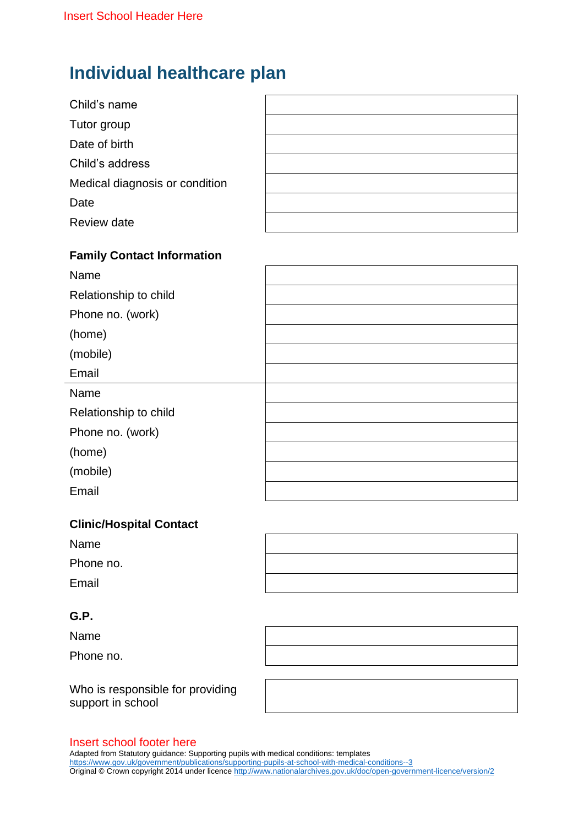# **Individual healthcare plan**

| Child's name                   |  |
|--------------------------------|--|
| Tutor group                    |  |
| Date of birth                  |  |
| Child's address                |  |
| Medical diagnosis or condition |  |
| Date                           |  |
| <b>Review date</b>             |  |
|                                |  |

## **Family Contact Information**

| Name                  |  |
|-----------------------|--|
| Relationship to child |  |
| Phone no. (work)      |  |
| (home)                |  |
| (mobile)              |  |
| Email                 |  |
| Name                  |  |
| Relationship to child |  |
| Phone no. (work)      |  |
| (home)                |  |
| (mobile)              |  |
| Email                 |  |

## **Clinic/Hospital Contact**

| Name      |  |
|-----------|--|
| Phone no. |  |
| Email     |  |

### **G.P.**

Name

Phone no.

Who is responsible for providing support in school



#### Insert school footer here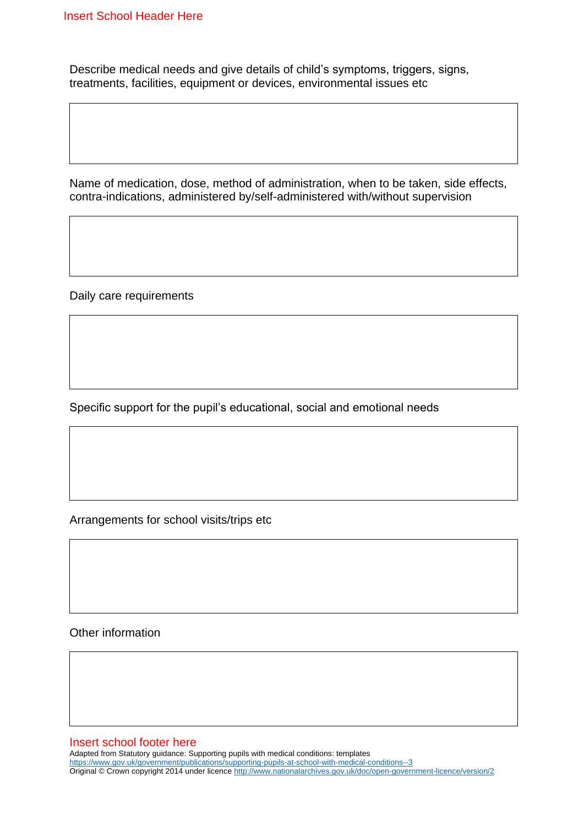Describe medical needs and give details of child's symptoms, triggers, signs, treatments, facilities, equipment or devices, environmental issues etc

Name of medication, dose, method of administration, when to be taken, side effects, contra-indications, administered by/self-administered with/without supervision

Daily care requirements

Specific support for the pupil's educational, social and emotional needs

Arrangements for school visits/trips etc

Other information

Insert school footer here

Adapted from Statutory guidance: Supporting pupils with medical conditions: templates <https://www.gov.uk/government/publications/supporting-pupils-at-school-with-medical-conditions--3> Original © Crown copyright 2014 under licenc[e http://www.nationalarchives.gov.uk/doc/open-government-licence/version/2](http://www.nationalarchives.gov.uk/doc/open-government-licence/version/2)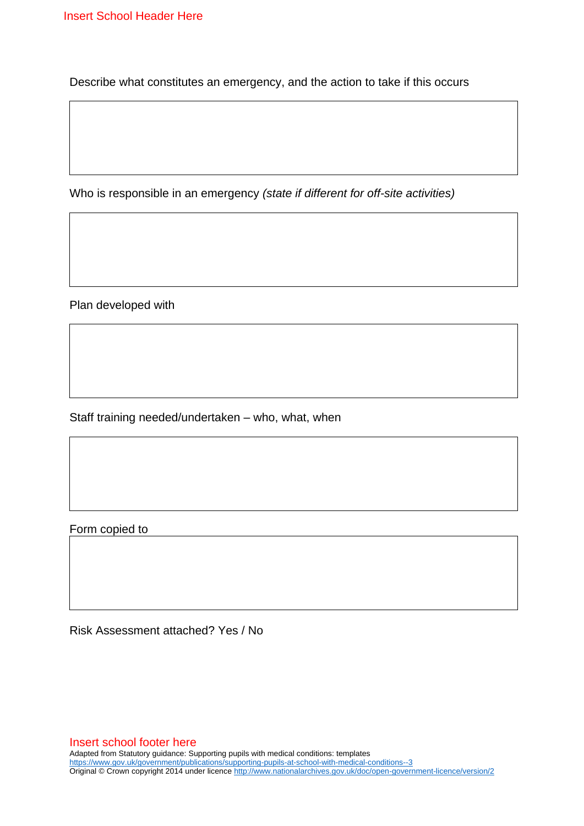Describe what constitutes an emergency, and the action to take if this occurs

Who is responsible in an emergency *(state if different for off-site activities)*

Plan developed with

Staff training needed/undertaken – who, what, when

Form copied to

Risk Assessment attached? Yes / No

Insert school footer here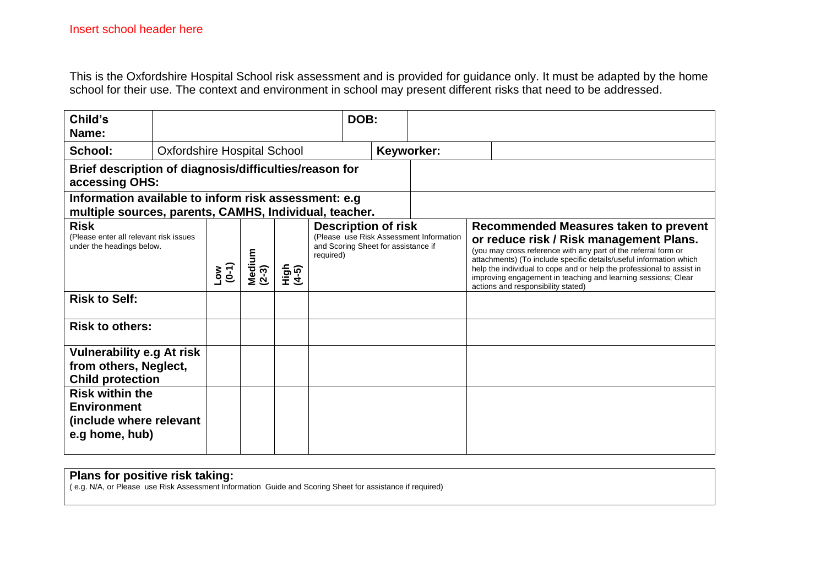This is the Oxfordshire Hospital School risk assessment and is provided for guidance only. It must be adapted by the home school for their use. The context and environment in school may present different risks that need to be addressed.

| Child's<br>Name:                                                                                               |                                    |                                                                  |  |  |                                                                                                              | DOB:       |                                                                                                                                                                                                                                                                                                                                                                                                          |  |  |  |
|----------------------------------------------------------------------------------------------------------------|------------------------------------|------------------------------------------------------------------|--|--|--------------------------------------------------------------------------------------------------------------|------------|----------------------------------------------------------------------------------------------------------------------------------------------------------------------------------------------------------------------------------------------------------------------------------------------------------------------------------------------------------------------------------------------------------|--|--|--|
| School:                                                                                                        | <b>Oxfordshire Hospital School</b> |                                                                  |  |  |                                                                                                              | Keyworker: |                                                                                                                                                                                                                                                                                                                                                                                                          |  |  |  |
| Brief description of diagnosis/difficulties/reason for<br>accessing OHS:                                       |                                    |                                                                  |  |  |                                                                                                              |            |                                                                                                                                                                                                                                                                                                                                                                                                          |  |  |  |
| Information available to inform risk assessment: e.g<br>multiple sources, parents, CAMHS, Individual, teacher. |                                    |                                                                  |  |  |                                                                                                              |            |                                                                                                                                                                                                                                                                                                                                                                                                          |  |  |  |
| <b>Risk</b><br>(Please enter all relevant risk issues<br>under the headings below.                             |                                    | Medium<br>required)<br>$\frac{8}{9}$<br>$(2-3)$<br>High<br>(4-5) |  |  | <b>Description of risk</b><br>(Please use Risk Assessment Information<br>and Scoring Sheet for assistance if |            | Recommended Measures taken to prevent<br>or reduce risk / Risk management Plans.<br>(you may cross reference with any part of the referral form or<br>attachments) (To include specific details/useful information which<br>help the individual to cope and or help the professional to assist in<br>improving engagement in teaching and learning sessions; Clear<br>actions and responsibility stated) |  |  |  |
| <b>Risk to Self:</b>                                                                                           |                                    |                                                                  |  |  |                                                                                                              |            |                                                                                                                                                                                                                                                                                                                                                                                                          |  |  |  |
| <b>Risk to others:</b>                                                                                         |                                    |                                                                  |  |  |                                                                                                              |            |                                                                                                                                                                                                                                                                                                                                                                                                          |  |  |  |
| <b>Vulnerability e.g At risk</b><br>from others, Neglect,<br><b>Child protection</b>                           |                                    |                                                                  |  |  |                                                                                                              |            |                                                                                                                                                                                                                                                                                                                                                                                                          |  |  |  |
| <b>Risk within the</b><br><b>Environment</b><br>(include where relevant<br>e.g home, hub)                      |                                    |                                                                  |  |  |                                                                                                              |            |                                                                                                                                                                                                                                                                                                                                                                                                          |  |  |  |

#### **Plans for positive risk taking:**

( e.g. N/A, or Please use Risk Assessment Information Guide and Scoring Sheet for assistance if required)